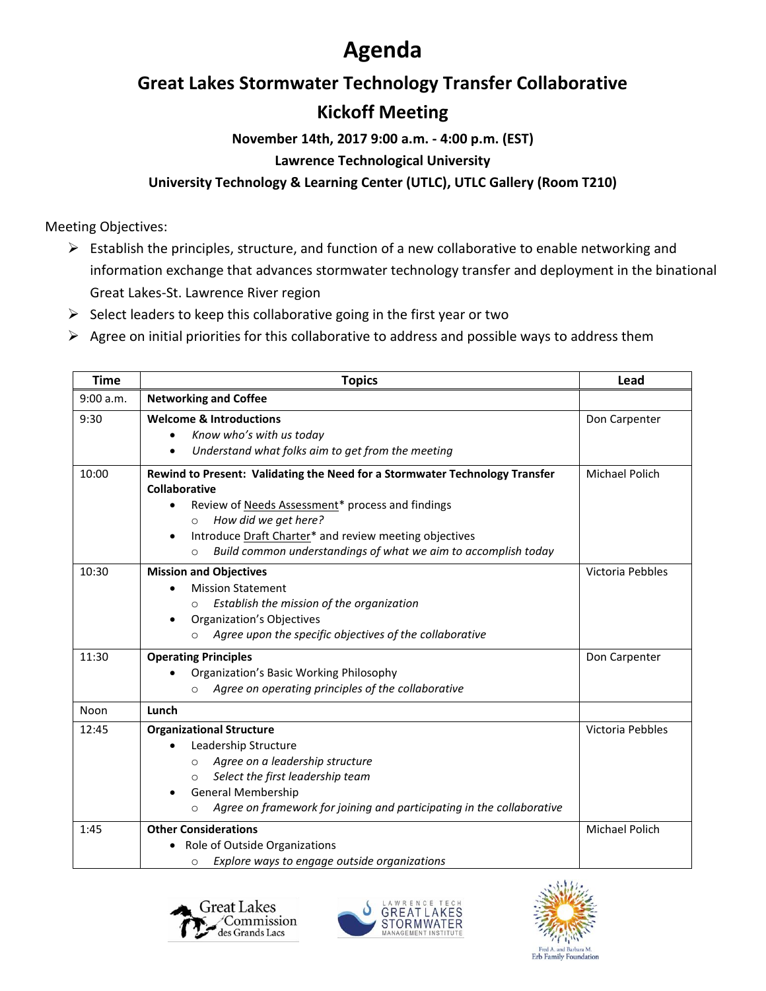# **Agenda**

### **Great Lakes Stormwater Technology Transfer Collaborative**

## **Kickoff Meeting**

**November 14th, 2017 9:00 a.m. - 4:00 p.m. (EST)**

#### **Lawrence Technological University**

### **University Technology & Learning Center (UTLC), UTLC Gallery (Room T210)**

Meeting Objectives:

- ➢ Establish the principles, structure, and function of a new collaborative to enable networking and information exchange that advances stormwater technology transfer and deployment in the binational Great Lakes-St. Lawrence River region
- $\triangleright$  Select leaders to keep this collaborative going in the first year or two
- $\triangleright$  Agree on initial priorities for this collaborative to address and possible ways to address them

| <b>Time</b> | <b>Topics</b>                                                                                                                                                                                                                                                                                                                            | Lead             |
|-------------|------------------------------------------------------------------------------------------------------------------------------------------------------------------------------------------------------------------------------------------------------------------------------------------------------------------------------------------|------------------|
| 9:00 a.m.   | <b>Networking and Coffee</b>                                                                                                                                                                                                                                                                                                             |                  |
| 9:30        | <b>Welcome &amp; Introductions</b><br>Know who's with us today<br>$\bullet$<br>Understand what folks aim to get from the meeting                                                                                                                                                                                                         | Don Carpenter    |
| 10:00       | Rewind to Present: Validating the Need for a Stormwater Technology Transfer<br>Collaborative<br>Review of Needs Assessment* process and findings<br>$\bullet$<br>How did we get here?<br>$\circ$<br>Introduce Draft Charter* and review meeting objectives<br>Build common understandings of what we aim to accomplish today<br>$\Omega$ | Michael Polich   |
| 10:30       | <b>Mission and Objectives</b><br><b>Mission Statement</b><br>Establish the mission of the organization<br><b>Organization's Objectives</b><br>$\bullet$<br>Agree upon the specific objectives of the collaborative<br>$\Omega$                                                                                                           | Victoria Pebbles |
| 11:30       | <b>Operating Principles</b><br><b>Organization's Basic Working Philosophy</b><br>Agree on operating principles of the collaborative<br>$\Omega$                                                                                                                                                                                          | Don Carpenter    |
| Noon        | Lunch                                                                                                                                                                                                                                                                                                                                    |                  |
| 12:45       | <b>Organizational Structure</b><br>Leadership Structure<br>Agree on a leadership structure<br>$\Omega$<br>Select the first leadership team<br>O<br><b>General Membership</b><br>Agree on framework for joining and participating in the collaborative<br>$\Omega$                                                                        | Victoria Pebbles |
| 1:45        | <b>Other Considerations</b><br>Role of Outside Organizations<br>Explore ways to engage outside organizations<br>O                                                                                                                                                                                                                        | Michael Polich   |